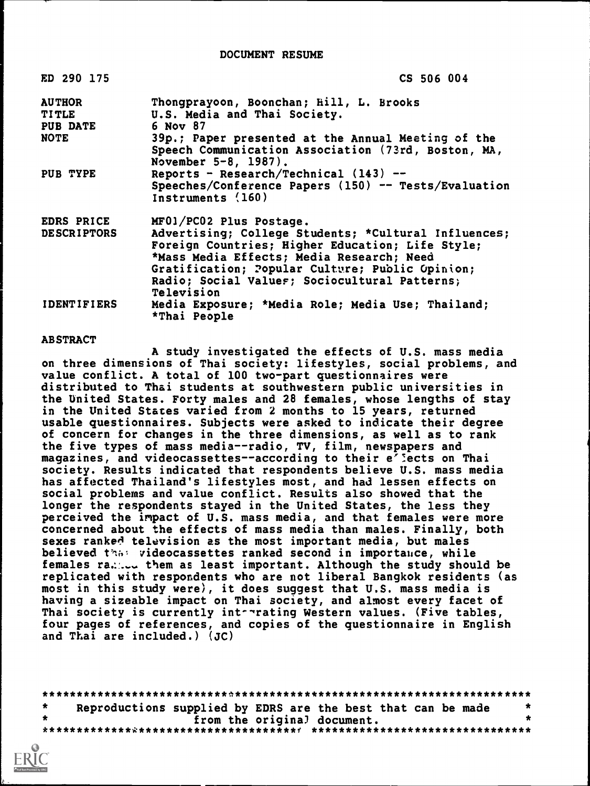#### DOCUMENT RESUME

| ED 290 175         | CS 506 004                                                                                                                                                                                                                                                              |
|--------------------|-------------------------------------------------------------------------------------------------------------------------------------------------------------------------------------------------------------------------------------------------------------------------|
| <b>AUTHOR</b>      | Thongprayoon, Boonchan; Hill, L. Brooks                                                                                                                                                                                                                                 |
| <b>TITLE</b>       | U.S. Media and Thai Society.                                                                                                                                                                                                                                            |
| <b>PUB DATE</b>    | 6 Nov 87                                                                                                                                                                                                                                                                |
| <b>NOTE</b>        | 39p.; Paper presented at the Annual Meeting of the<br>Speech Communication Association (73rd, Boston, MA,<br>November 5-8, 1987).                                                                                                                                       |
| PUB TYPE           | Reports - Research/Technical $(143)$ --                                                                                                                                                                                                                                 |
|                    | Speeches/Conference Papers (150) -- Tests/Evaluation<br>Instruments (160)                                                                                                                                                                                               |
| EDRS PRICE         | MF01/PC02 Plus Postage.                                                                                                                                                                                                                                                 |
| <b>DESCRIPTORS</b> | Advertising; College Students; *Cultural Influences;<br>Foreign Countries; Higher Education; Life Style;<br>*Mass Media Effects; Media Research; Need<br>Gratification; Popular Culture; Public Opinion;<br>Radio; Social Values; Sociocultural Patterns;<br>Television |
| <b>IDENTIFIERS</b> | Media Exposure; *Media Role; Media Use; Thailand;<br>*Thai People                                                                                                                                                                                                       |

### ABSTRACT

A study investigated the effects of U.S. mass media on three dimensions of Thai society: lifestyles, social problems, and value conflict. A total of 100 two-part questionnaires were distributed to Thai students at southwestern public universities in the United States. Forty males and 28 females, whose lengths of stay in the United States varied from 2 months to 15 years, returned usable questionnaires. Subjects were asked to indicate their degree of concern for changes in the three dimensions, as well as to rank the five types of mass media--radio, TV, film, newspapers and magazines, and videocassettes--according to their e<sup>7</sup> ects on Thai society. Results indicated that respondents believe U.S. mass media has affected Thailand's lifestyles most, and had lessen effects on social problems and value conflict. Results also showed that the longer the respondents stayed in the United States, the less they perceived the impact of U.S. mass media, and that females were more concerned about the effects of mass media than males. Finally, both sexes ranked television as the most important media, but males believed that videocassettes ranked second in importance, while females ra. ... them as least important. Although the study should be replicated with respondents who are not liberal Bangkok residents (as most in this study were), it does suggest that U.S. mass media is having a sizeable impact on Thai society, and almost every facet of Thai society is currently intertating Western values. (Five tables, four pages of references, and copies of the questionnaire in English and Thai are included.) (JC)

\*\*\*\*\*\*\*\*\*\*\*\*\*\*\*\*\*\*\*\*\*\*\*\*\*\*\*\*\*\*\*\*\*\*\*\*\*\*\*\*\*\*\*\*\*\*\*\*\*\*\*\*\*\*\*\*\*\*\*\*\*\*\*\*\*\*\*\*\*\*\* \* Reproductions supplied by EDRS are the best that can be made \* \* \* from the original document. \* \*\*\*\*\*\*\*\*\*\*\*\*\*\*\*\*\*\*\*\*\*\*\*\*\*\*\*\*\*\*\*\*\*\*\*\*\*f \*\*\*\*\*\*\*\*\*\*\*\*\*\*\*\*\*\*\*\*\*\*\*\*\*\*\*\*\*\*\*\*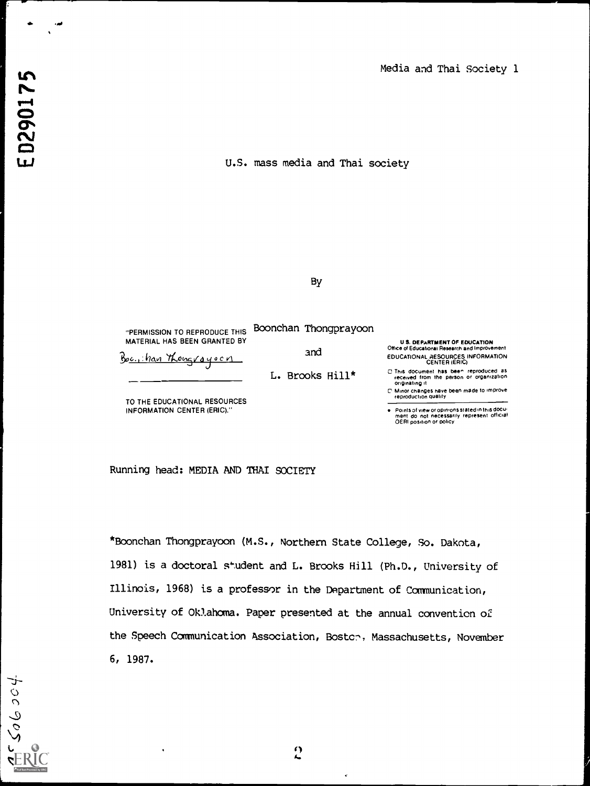U.S. mass media and Thai society

 $60004$ 

## By

"PERMISSION TO REPRODUCE THIS MATERIAL HAS BEEN GRANTED BY Boonchan Thongprayoon

and

L. Brooks Hill\*

Boc., han Thougrayoon

TO THE EDUCATIONAL RESOURCES INFORMATION CENTER (ERIC)."

U S. DEPARTMENT OF EDUCATION Office of Educationai Research and Improvement EDUCATIONAL RESOURCES INFORMATION CENTER (ERIC)

Points of view or opinions stated in this docu-<br>ment: do: not: necessarily: represent: official<br>OERI position or policy

Running head: MEDIA AND THAI SOCIETY

\*Boonchan Thongprayoon (M.S., Northern State College, So. Dakota, 1981) is a doctoral student and L. Brooks Hill (Ph.D., University of Illinois, 1968) is a professor in the Department of Communication, University of Oklahoma. Paper presented at the annual convention of the Speech Communication Association, Bostch, Massachusetts, November 6, 1987.



C This document has bee" reproduced as received I rom the person or organization originating it

C Minor changes have been made to improve reproduction quality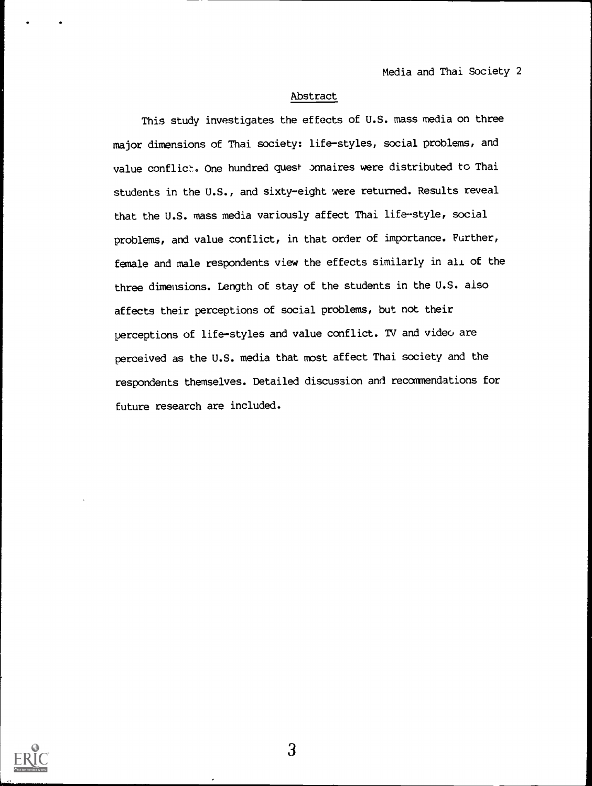### Abstract

This study investigates the effects of U.S. mass media on three major dimensions of Thai society: life-styles, social problems, and value conflict, One hundred quest pnnaires were distributed to Thai students in the U.S., and sixty-eight were returned. Results reveal that the U.S. mass media variously affect Thai life-style, social problems, and value conflict, in that order of importance. Further, female and male respondents view the effects similarly in all of the three dimensions. Length of stay of the students in the U.S. also affects their perceptions of social problems, but not their perceptions of life-styles and value conflict. TV and video are perceived as the U.S. media that most affect Thai society and the respondents themselves. Detailed discussion and recommendations for future research are included.

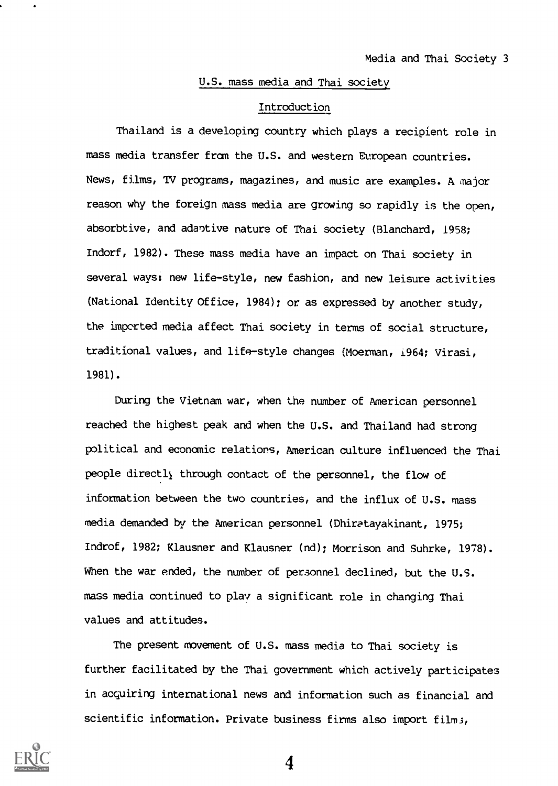## U.S. mass media and Thai society

#### Introduction

Thailand is a developing country which plays a recipient role in mass media transfer from the U.S. and western European countries. News, films, TV programs, magazines, and music are examples. A major reason why the foreign mass media are growing so rapidly is the open, absorbtive, and adaptive nature of Thai society (Blanchard, 1958; Indorf, 1982). These mass media have an impact on Thai society in several ways: new life-style, new fashion, and new leisure activities (National Identity Office, 1984); or as expressed by another study, the imported media affect Thai society in terms of social structure, traditional values, and life-style changes (Moerman, i964; Virasi, 1981).

During the Vietnam war, when the number of American personnel reached the highest peak and when the U.S. and Thailand had strong political and economic relations, American culture influenced the Thai people directly through contact of the personnel, the flow of information between the two countries, and the influx of U.S. mass media demanded by the American personnel (Dhiratayakinant, 1975; Indrof, 1982; Klausner and Klausner (nd); Morrison and Suhrke, 1978). When the war ended, the number of personnel declined, but the U.S. mass media continued to play a significant role in changing Thai values and attitudes.

The present movement of U.S. mass media to Thai society is further facilitated by the Thai government which actively participates in acquiring international news and information such as financial and scientific information. Private business firms also import film;

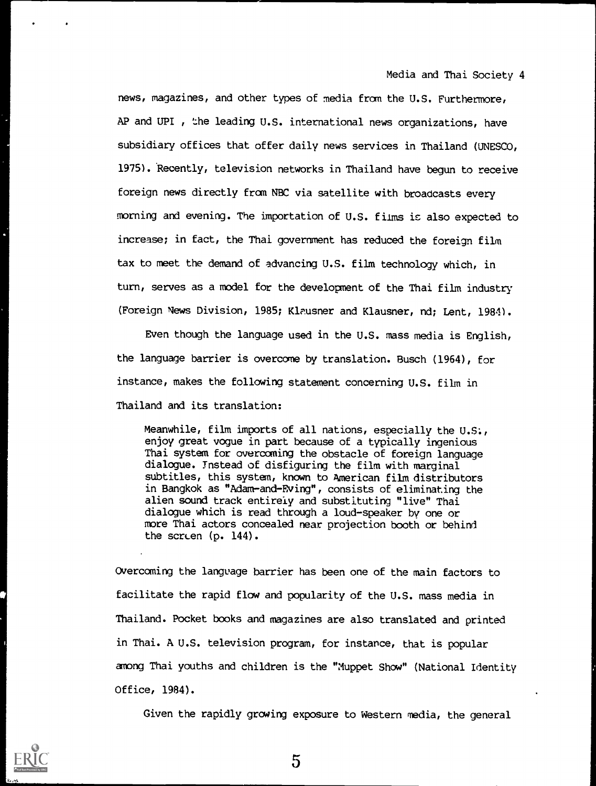news, magazines, and other types of media from the U.S. Furthermore, AP and UPI , the leading U.S. international news organizations, have subsidiary offices that offer daily news services in Thailand (UNESCO, 1975). Recently, television networks in Thailand have begun to receive foreign news directly from NBC via satellite with broadcasts every morning and evening. The importation of U.S. films is also expected to increase; in fact, the Thai government has reduced the foreign film tax to meet the demand of advancing U.S. film technology which, in turn, serves as a model for the development of the Thai film industry (Foreign News Division, 1985; Klausner and Klausner, nd; Lent, 1984).

Even though the language used in the U.S. mass media is English, the language barrier is overcome by translation. Busch (1964), for instance, makes the following statement concerning U.S. film in Thailand and its translation:

Meanwhile, film imports of all nations, especially the U.S:, enjoy great vogue in part because of a typically ingenious Thai system for overcoming the obstacle of foreign language dialogue. Instead of disfiguring the film with marginal subtitles, this system, known to American film distributors in Bangkok as "Adam-and-Eving", consists of eliminating the alien sound track entirely and substituting "live" Thai dialogue which is read through a loud-speaker by one or more Thai actors concealed near projection booth or behind the screen (p. 144).

Overcoming the language barrier has been one of the main factors to facilitate the rapid flow and popularity of the U.S. mass media in Thailand. Pocket books and magazines are also translated and printed in Thai. A U.S. television program, for instance, that is popular among Thai youths and children is the "Muppet Show" (National Identity Office, 1984).

Given the rapidly growing exposure to Western media, the general

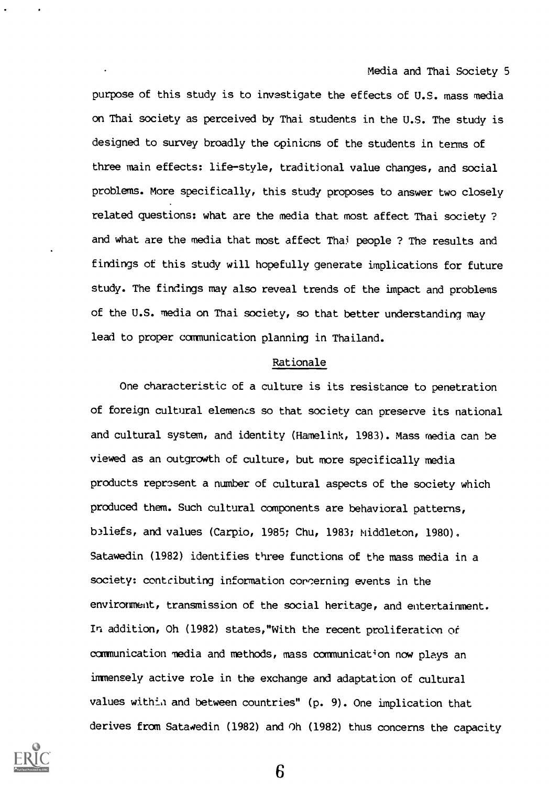purpose of this study is to investigate the effects of U.S. mass media on Thai society as perceived by Thai students in the U.S. The study is designed to survey broadly the opinions of the students in terms of three main effects: life-style, traditional value changes, and social problems. More specifically, this study proposes to answer two closely related questions: what are the media that most affect Thai society ? and what are the media that most affect Thai people ? The results and findings of this study will hopefully generate implications for future study. The findings may also reveal trends of the impact and problems of the U.S. media on Thai society, so that better understanding may lead to proper communication planning in Thailand.

## Rationale

One characteristic of a culture is its resistance to penetration of foreign cultural elements so that society can preserve its national and cultural system, and identity (Hamelink, 1983). Mass media can be viewed as an outgrowth of culture, but more specifically media products represent a number of cultural aspects of the society which produced them. Such cultural components are behavioral patterns, b3liefs, and values (Carpio, 1985; Chu, 1983; Middleton, 1980). Satawedin (1982) identifies three functions of the mass media in a society: contributing information concerning events in the environment, transmission of the social heritage, and entertainment. In addition, Oh (1982) states,"With the recent proliferation of communication media and methods, mass communication now plays an immensely active role in the exchange and adaptation of cultural values within and between countries" (p. 9). One implication that derives from Satawedin (1982) and Oh (1982) thus concerns the capacity

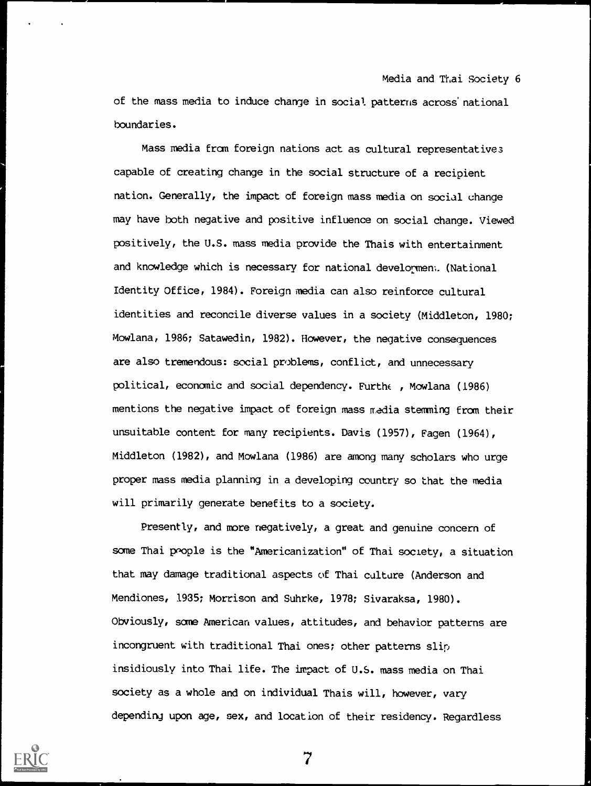of the mass media to induce change in social patterns across' national boundaries.

Mass media fran foreign nations act as cultural representatives capable of creating change in the social structure of a recipient nation. Generally, the impact of foreign mass media on social change may have both negative and positive influence on social change. Viewed positively, the U.S. mass media provide the Thais with entertainment and knowledge which is necessary for national developmem. (National Identity Office, 1984). Foreign media can also reinforce cultural identities and reconcile diverse values in a society (Middleton, 1980; Mowlana, 1986; Satawedin, 1982). However, the negative consequences are also tremendous: social problems, conflict, and unnecessary political, economic and social dependency. Furthe , Mowlana (1986) mentions the negative impact of foreign mass media stemming fran their unsuitable content for many recipients. Davis (1957), Eagen (1964), Middleton (1982), and Mowlana (1986) are among many scholars who urge proper mass media planning in a developing country so that the media will primarily generate benefits to a society.

Presently, and more negatively, a great and genuine concern of some Thai prople is the "Americanization" of Thai society, a situation that may damage traditional aspects of Thai culture (Anderson and Mendiones, 1935; Morrison and Suhrke, 1978; Sivaraksa, 1980). Obviously, some American values, attitudes, and behavior patterns are incongruent with traditional Thai ones; other patterns slip insidiously into Thai life. The impact of U.S. mass media on Thai society as a whole and on individual Thais will, however, vary depending upon age, sex, and location of their residency. Regardless

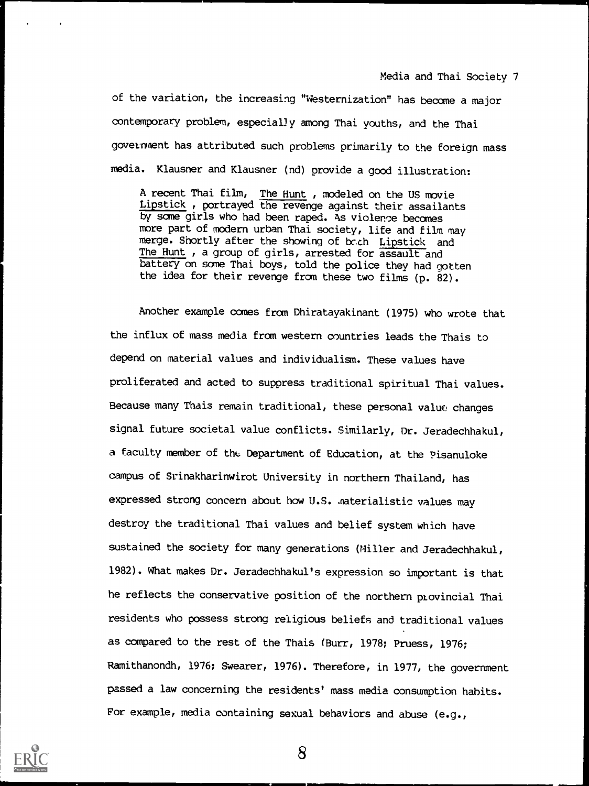of the variation, the increasing "Westernization" has become a major contemporary problem, especially among Thai youths, and the Thai goverment has attributed such problems primarily to the foreign mass media. Klausner and Klausner (nd) provide a good illustration:

A recent Thai film, The Hunt , modeled on the US movie Lipstick , portrayed the revenge against their assailants by some girls who had been raped. As violence becomes more part of modern urban Thai society, life and film may merge. Shortly after the showing of bc,ch Lipstick and The Hunt, a group of girls, arrested for assault and battery on some Thai boys, told the police they had gotten the idea for their revenge from these two films (p. 82).

Another example comes from Dhiratayakinant (1975) who wrote that the influx of mass media from western countries leads the Thais to depend on material values and individualism. These values have proliferated and acted to suppress traditional spiritual Thai values. Because many Thais remain traditional, these personal value changes signal future societal value conflicts. Similarly, Dr. Jeradechhakul, a faculty member of the Department of Education, at the Pisanuloke campus of Srinakharinwirot University in northern Thailand, has expressed strong concern about how U.S. .materialistic values may destroy the traditional Thai values and belief system which have sustained the society for many generations (Miller and Jeradechhakul, 1982). What makes Dr. Jeradechhakul's expression so important is that he reflects the conservative position of the northern provincial Thai residents who possess strong religious beliefs and traditional values as compared to the rest of the Thais (Burr, 1978; Pruess, 1976; Ramithanondh, 1976; Swearer, 1976). Therefore, in 1977, the government passed a law concerning the residents' mass media consumption habits. For example, media containing sexual behaviors and abuse (e.g.,

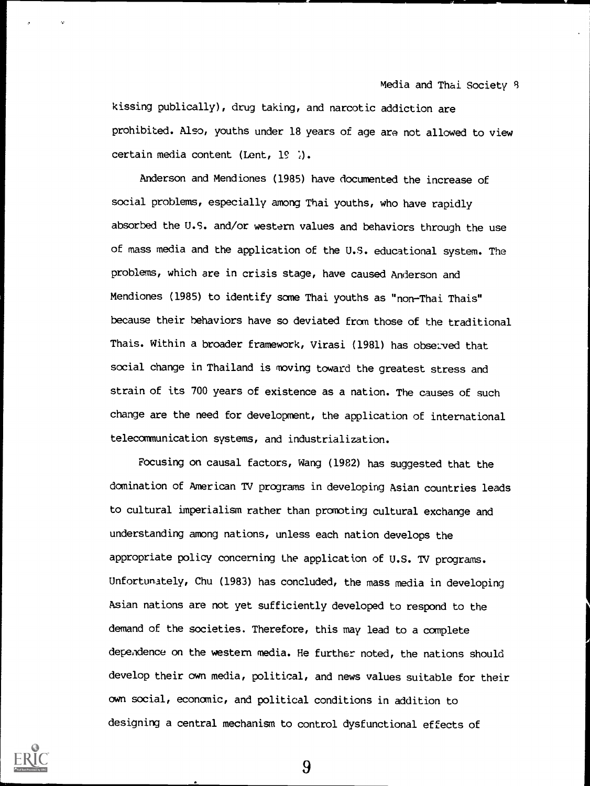kissing publically), drug taking, and narcotic addiction are prohibited. Also, youths under 18 years of age are not allowed to view certain media content (Lent,  $19$  ).

Anderson and Mendiones (1985) have documented the increase of social problems, especially among Thai youths, who have rapidly absorbed the U.S. and/or western values and behaviors through the use of mass media and the application of the U.S. educational system. The problems, which are in crisis stage, have caused Anderson and Mendiones (1985) to identify some Thai youths as "non-Thai Thais" because their behaviors have so deviated from those of the traditional Thais. Within a broader framework, Virasi (1981) has observed that social change in Thailand is moving toward the greatest stress and strain of its 700 years of existence as a nation. The causes of such change are the need for development, the application of international telecommunication systems, and industrialization.

Focusing on causal factors, Wang (1982) has suggested that the domination of American TV programs in developing Asian countries leads to cultural imperialism rather than promoting cultural exchange and understanding among nations, unless each nation develops the appropriate policy concerning the application of U.S. TV programs. Unfortunately, Chu (1983) has concluded, the mass media in developing Asian nations are not yet sufficiently developed to respond to the demand of the societies. Therefore, this may lead to a complete dependence on the western media. He further noted, the nations should develop their own media, political, and news values suitable for their own social, economic, and political conditions in addition to designing a central mechanism to control dysfunctional effects of

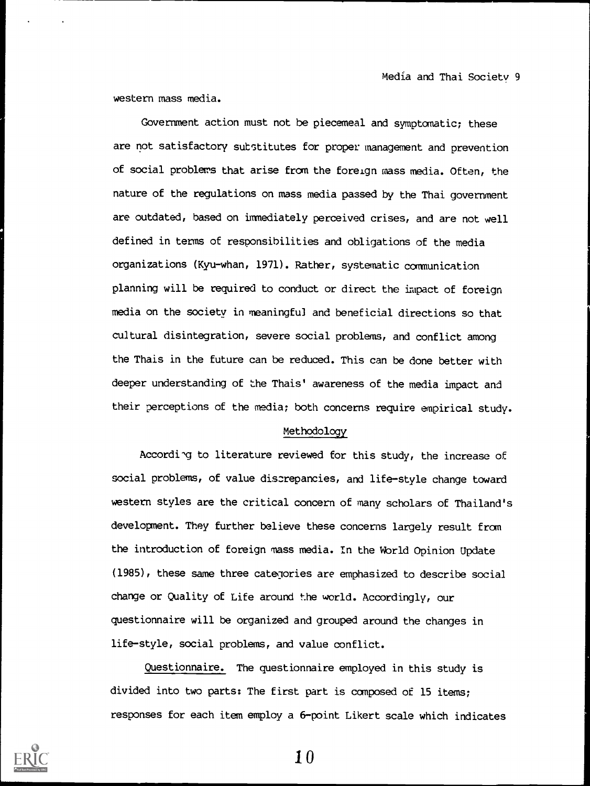western mass media.

Government action must not be piecemeal and symptomatic; these are not satisfactory sutstitutes for proper management and prevention of social problems that arise from the foreign mass media. Often, the nature of the regulations on mass media passed by the Thai government are outdated, based on immediately perceived crises, and are not well defined in terms of responsibilities and obligations of the media organizations (Kyu-whan, 1971). Rather, systematic communication planning will be required to conduct or direct the impact of foreign media on the society in meaningful and beneficial directions so that cultural disintegration, severe social problems, and conflict among the Thais in the future can be reduced. This can be done better with deeper understanding of the Thais' awareness of the media impact and their perceptions of the media; both concerns require empirical study.

#### Methodology

Accordi'g to literature reviewed for this study, the increase of social problems, of value diszrepancies, and life-style change toward western styles are the critical concern of many scholars of Thailand's development. They further believe these concerns largely result from the introduction of foreign mass media. In the World Opinion Update (1985), these same three categories are emphasized to describe social change or Quality of Life around the world. Accordingly, our questionnaire will be organized and grouped around the changes in life-style, social problems, and value conflict.

Questionnaire. The questionnaire employed in this study is divided into two parts: The first part is composed of 15 items; responses for each item employ a 6-point Likert scale which indicates



to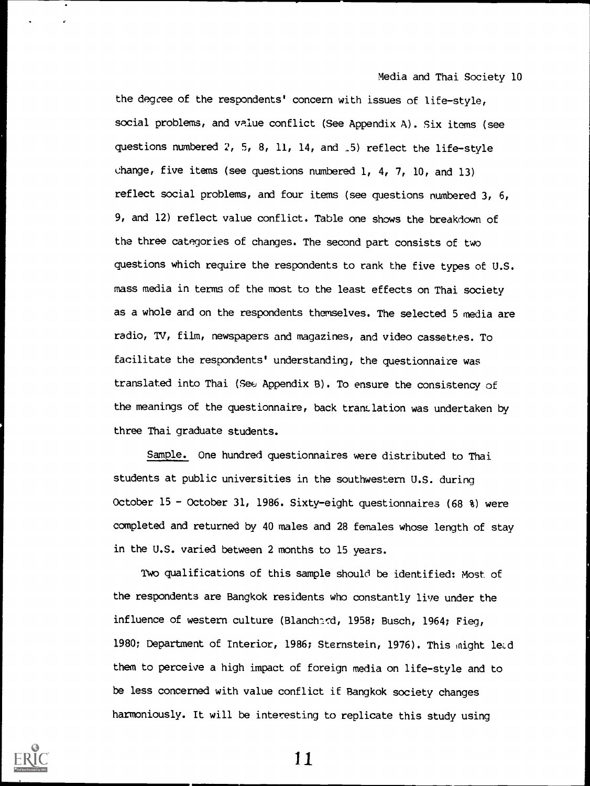the degree of the respondents' concern with issues of life-style, social problems, and value conflict (See Appendix A). Six items (see questions numbered  $2$ , 5, 8, 11, 14, and  $\overline{15}$  reflect the life-style change, five items (see questions numbered 1, 4, 7, 10, and 13) reflect social problems, and four items (see questions numbered 3, 6, 9, and 12) reflect value conflict. Table one shows the breakdown of the three categories of changes. The second part consists of two questions which require the respondents to rank the five types of U.S. mass media in terms of the most to the least effects on Thai society as a whole and on the respondents themselves. The selected 5 media are radio, TV, film, newspapers and magazines, and video cassettes. To facilitate the respondents' understanding, the questionnaire was translated into Thai (See Appendix B). To ensure the consistency of the meanings of the questionnaire, back translation was undertaken by three Thai graduate students.

Sample. One hundred questionnaires were distributed to Thai students at public universities in the southwestern U.S. during October 15 - October 31, 1986. Sixty-eight questionnaires (68 %) were completed and returned by 40 males and 28 females whose length of stay in the U.S. varied between 2 months to 15 years.

Two qualifications of this sample should be identified: Most of the respondents are Bangkok residents who constantly live under the influence of western culture (Blanchard, 1958; Busch, 1964; Fieg, 1980; Department of Interior, 1986; Sternstein, 1976). This might ledd them to perceive a high impact of foreign media on life-style and to be less concerned with value conflict if Bangkok society changes harmoniously. It will be interesting to replicate this study using

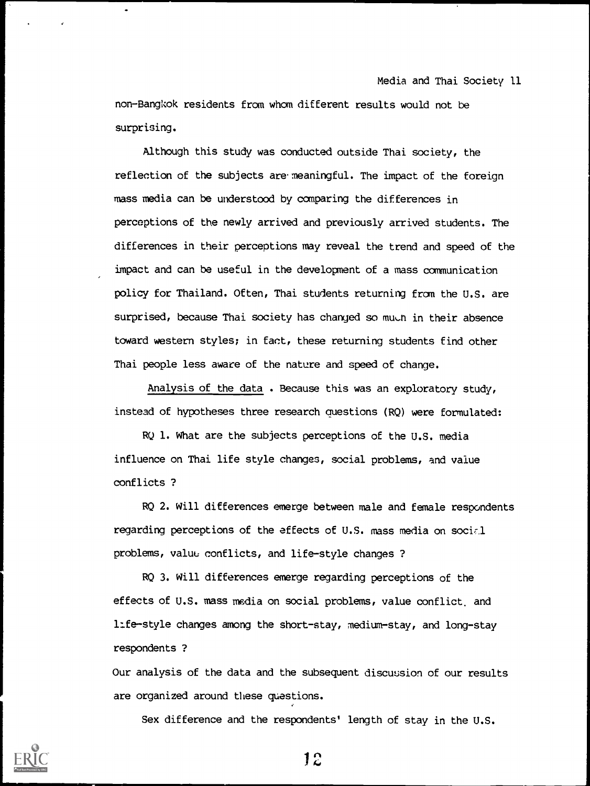non-Bangkok residents from whom different results would not be surprising.

Although this study was conducted outside Thai society, the reflection of the subjects are meaningful. The impact of the foreign mass media can be understood by comparing the differences in perceptions of the newly arrived and previously arrived students. The differences in their perceptions may reveal the trend and speed of the impact and can be useful in the development of a mass communication policy for Thailand. Often, Thai students returning from the U.S. are surprised, because Thai society has changed so much in their absence toward western styles; in fact, these returning students find other Thai people less aware of the nature and speed of change.

Analysis of the data . Because this was an exploratory study, instead of hypotheses three research auestions (RQ) were formulated:

RQ 1. What are the subjects perceptions of the U.S. media influence on Thai life style changes, social problems, and value conflicts ?

RQ 2. Will differences emerge between male and female respondents regarding perceptions of the effects of U.S. mass media on social problems, value conflicts, and life-style changes ?

RQ 3. Will differences emerge regarding perceptions of the effects of U.S. mass media on social problems, value conflict, and life-style changes among the short-stay, medium-stay, and long-stay respondents ?

Our analysis of the data and the subsequent discussion of our results are organized around these questions.

Sex difference and the respondents' length of stay in the U.S.

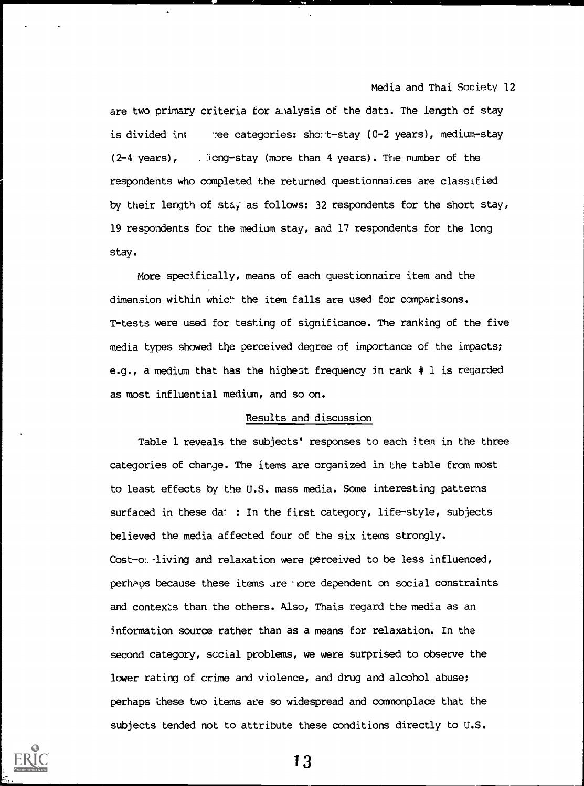are two primary criteria for a alysis of the data. The length of stay is divided int 7ee categories: sho;t-stay (0-2 years), medium-stay (2-4 years), . Jong-stay (more than 4 years). The number of the respondents who completed the returned questionnaires are classified by their length of stay as follows: 32 respondents for the short stay, 19 respondents for the medium stay, and 17 respondents for the long stay.

More specifically, means of each questionnaire item and the dimension within which the item falls are used for comparisons. T-tests were used for testing of significance. The ranking of the five media types showed the perceived degree of importance of the impacts; e.g., a medium that has the highest frequency in rank # 1 is regarded as most influential medium, and so on.

#### Results and discussion

Table 1 reveals the subjects' responses to each item in the three categories of change. The items are organized in the table from most to least effects by the U.S. mass media. Some interesting patterns surfaced in these da' : In the first category, life-style, subjects believed the media affected four of the six items strongly. Cost-o:. living and relaxation were perceived to be less influenced, perhaps because these items are nore dependent on social constraints and contexts than the others. Also, Thais regard the media as an information source rather than as a means for relaxation. In the second category, sccial problems, we were surprised to observe the lower rating of crime and violence, and drug and alcohol abuse; perhaps these two items are so widespread and commonplace that the subjects tended not to attribute these conditions directly to U.S.

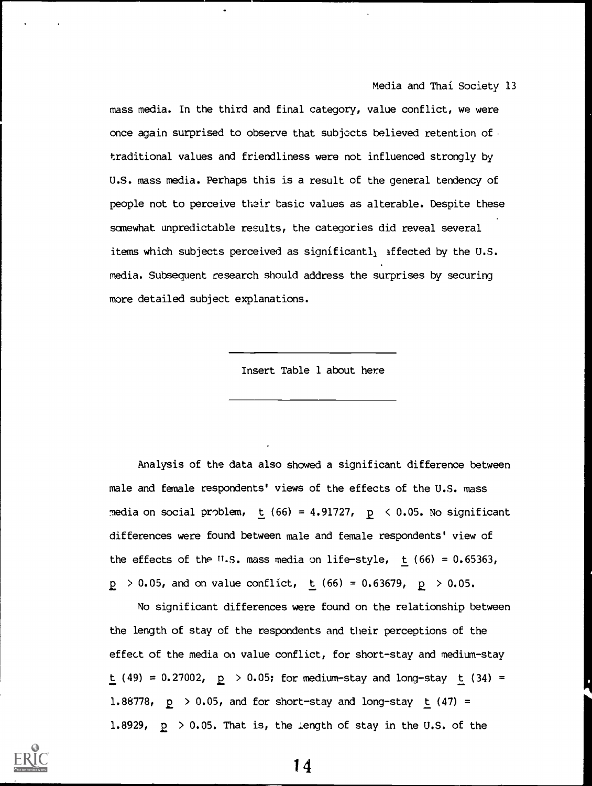mass media. In the third and final category, value conflict, we were once again surprised to observe that subjects believed retention of traditional values and friendliness were not influenced strongly by U.S. mass media. Perhaps this is a result of the general tendency of people not to perceive their basic values as alterable. Despite these somewhat unpredictable results, the categories did reveal several items which subjects perceived as significantl<sub>l</sub> affected by the U.S. media. Subsequent research should address the surprises by securing more detailed subject explanations.

Insert Table 1 about here

Analysis of the data also showed a significant difference between male and female respondents' views of the effects of the U.S. mass media on social problem,  $t$  (66) = 4.91727,  $p \le 0.05$ . No significant differences were found between male and female respondents' view of the effects of the U.S. mass media on life-style,  $t$  (66) = 0.65363,  $p > 0.05$ , and on value conflict,  $t / (66) = 0.63679$ ,  $p > 0.05$ .

No significant differences were found on the relationship between the length of stay of the respondents and their perceptions of the effect of the media on value conflict, for short-stay and medium-stay  $t$  (49) = 0.27002,  $p > 0.05$ ; for medium-stay and long-stay  $t$  (34) = 1.88778,  $p > 0.05$ , and for short-stay and long-stay  $t / (47) =$ 1.8929,  $p > 0.05$ . That is, the length of stay in the U.S. of the

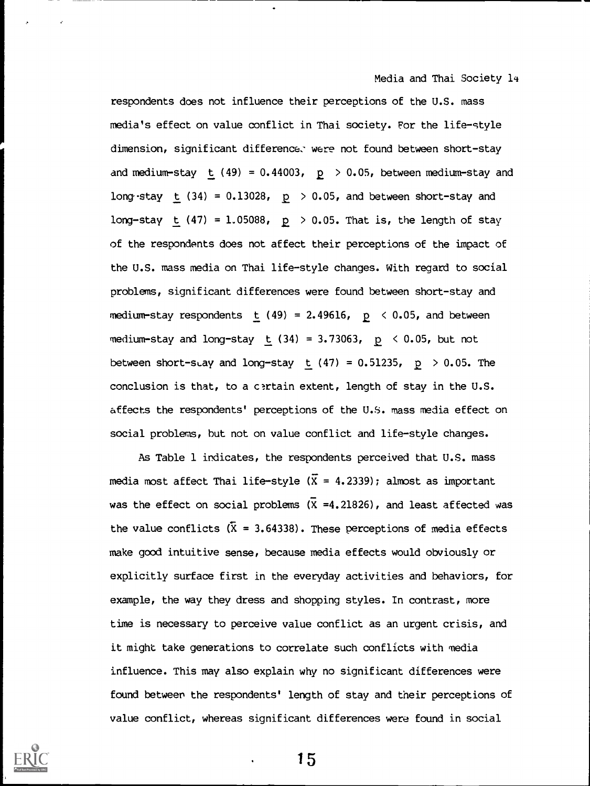respondents does not influence their perceptions of the U.S. mass media's effect on value conflict in Thai society. For the life-style dimension, significant difference: were not found between short-stay and medium-stay t (49) =  $0.44003$ ,  $p > 0.05$ , between medium-stay and long-stay t (34) =  $0.13028$ ,  $p > 0.05$ , and between short-stay and long-stay  $t$  (47) = 1.05088,  $p > 0.05$ . That is, the length of stay of the respondents does not affect their perceptions of the impact of the U.S. mass media on Thai life-style changes. With regard to social problems, significant differences were found between short-stay and medium-stay respondents t (49) = 2.49616,  $p \le 0.05$ , and between medium-stay and long-stay t  $(34) = 3.73063$ ,  $p < 0.05$ , but not between short-stay and long-stay t  $(47) = 0.51235$ ,  $p > 0.05$ . The conclusion is that, to a certain extent, length of stay in the U.S. affects the respondents' perceptions of the U.S. mass media effect on social problems, but not on value conflict and life-style changes.

As Table 1 indicates, the respondents perceived that U.S. mass media most affect Thai life-style ( $\overline{X}$  = 4.2339); almost as important was the effect on social problems  $(\bar{X} = 4.21826)$ , and least affected was the value conflicts ( $\bar{X}$  = 3.64338). These perceptions of media effects make good intuitive sense, because media effects would obviously or explicitly surface first in the everyday activities and behaviors, for example, the way they dress and shopping styles. In contrast, more time is necessary to perceive value conflict as an urgent crisis, and it might take generations to correlate such conflicts with media influence. This may also explain why no significant differences were found between the respondents' length of stay and their perceptions of value conflict, whereas significant differences were found in social

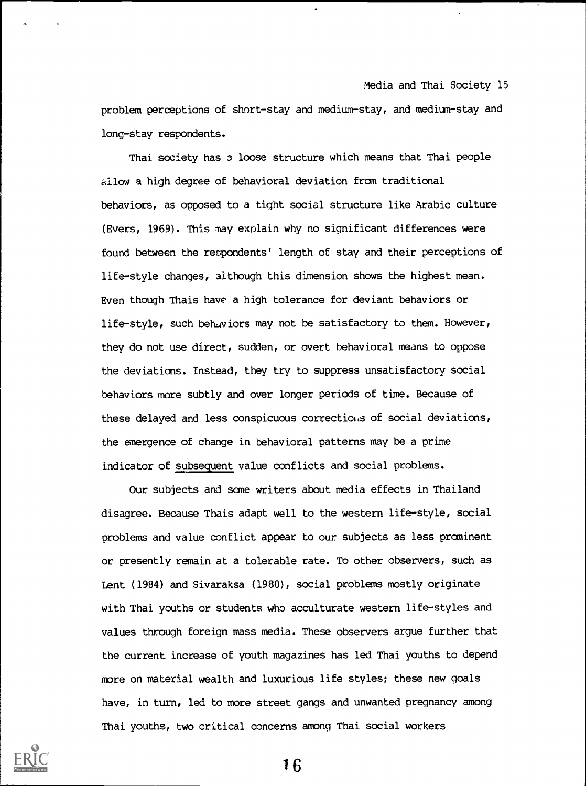problem perceptions of short-stay and medium-stay, and medium-stay and long-stay respondents.

Thai society has 3 loose structure which means that Thai people allow a high degree of behavioral deviation from traditional behaviors, as opposed to a tight social structure like Arabic culture (Evers, 1969). This may explain why no significant differences were found between the respondents' length of stay and their perceptions of life-style changes, although this dimension shows the highest mean. Even though Thais have a high tolerance for deviant behaviors or life-style, such behaviors may not be satisfactory to them. However, they do not use direct, sudden, or overt behavioral means to oppose the deviations. Instead, they try to suppress unsatisfactory social behaviors more subtly and over longer periods of time. Because of these delayed and less conspicuous corrections of social deviations, the emergence of change in behavioral patterns may be a prime indicator of subsequent value conflicts and social problems.

Our subjects and sane writers about media effects in Thailand disagree. Because Thais adapt well to the western life-style, social problems and value conflict appear to our subjects as less prominent or presently remain at a tolerable rate. To other observers, such as Lent (1984) and Sivaraksa (1980), social problems mostly originate with Thai youths or students who acculturate western life-styles and values through foreign mass media. These observers argue further that the current increase of youth magazines has led Thai youths to depend more on material wealth and luxurious life styles; these new goals have, in turn, led to more street gangs and unwanted pregnancy among Thai youths, two critical concerns among Thai social workers

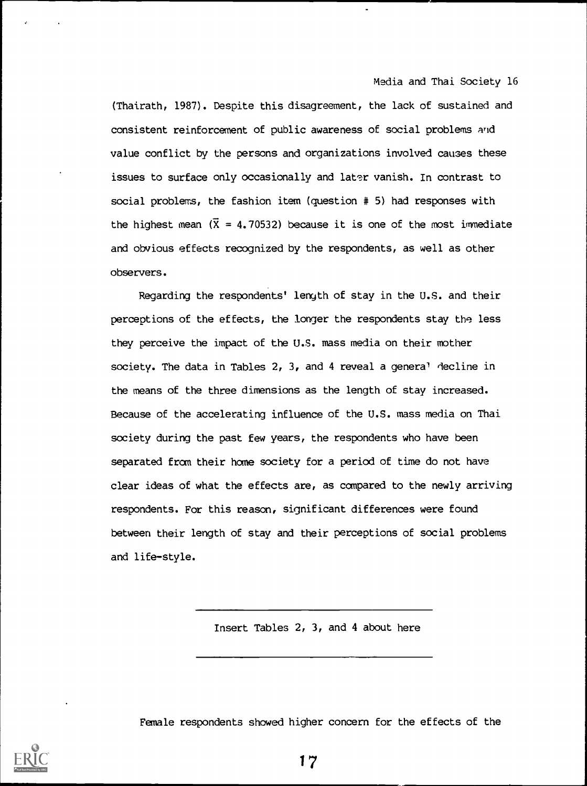(Thairath, 1987). Despite this disagreement, the lack of sustained and consistent reinforcement of public awareness of social problems and value conflict by the persons and organizations involved causes these issues to surface only occasionally and later vanish. In contrast to social problems, the fashion item (question # 5) had responses with the highest mean  $(\bar{X} = 4.70532)$  because it is one of the most immediate and obvious effects recognized by the respondents, as well as other observers.

Regarding the respondents' length of stay in the U.S. and their perceptions of the effects, the longer the respondents stay the less they perceive the impact of the U.S. mass media on their mother society. The data in Tables 2, 3, and 4 reveal a genera' decline in the means of the three dimensions as the length of stay increased. Because of the accelerating influence of the U.S. mass media on Thai society during the past few years, the respondents who have been separated from their home society for a period of time do not have clear ideas of what the effects are, as compared to the newly arriving respondents. For this reason, significant differences were found between their length of stay and their perceptions of social problems and life-style.

Insert Tables 2, 3, and 4 about here

Female respondents showed higher concern for the effects of the

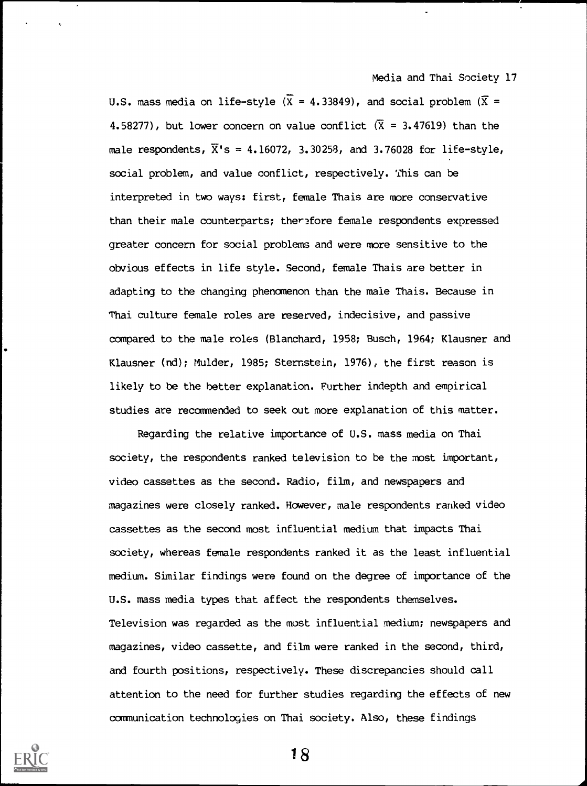U.S. mass media on life-style ( $\overline{X}$  = 4.33849), and social problem ( $\overline{X}$  = 4.58277), but lower concern on value conflict  $(\bar{x} = 3.47619)$  than the male respondents,  $\overline{X}$ 's = 4.16072, 3.30258, and 3.76028 for life-style, social problem, and value conflict, respectively. This can be interpreted in two ways: first, female Thais are more conservative than their male counterparts; ther3fore female respondents expressed greater concern for social problems and were more sensitive to the obvious effects in life style. Second, female Thais are better in adapting to the changing phenomenon than the male Thais. Because in Thai culture female roles are reserved, indecisive, and passive compared to the male roles (Blanchard, 1958; Busch, 1964; Klausner and Klausner (nd); Mulder, 1985; Sternstein, 1976), the first reason is likely to be the better explanation. Further indepth and empirical studies are recommended to seek out more explanation of this matter.

Regarding the relative importance of U.S. mass media on Thai society, the respondents ranked television to be the most important, video cassettes as the second. Radio, film, and newspapers and magazines were closely ranked. However, male respondents ranked video cassettes as the second most influential medium that impacts Thai society, whereas female respondents ranked it as the least influential medium. Similar findings were found on the degree of importance of the U.S. mass media types that affect the respondents themselves. Television was regarded as the most influential medium; newspapers and magazines, video cassette, and film were ranked in the second, third, and fourth positions, respectively. These discrepancies should call attention to the need for further studies regarding the effects of new communication technologies on Thai society. Also, these findings

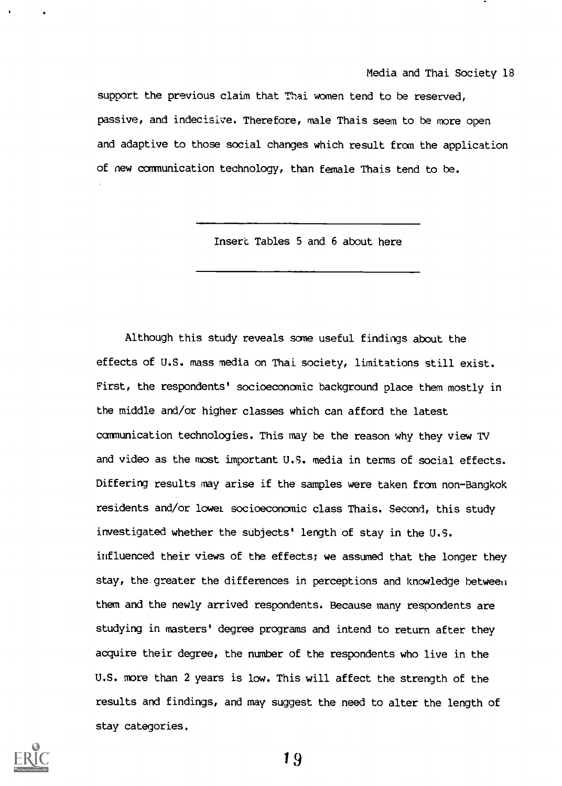support the previous claim that Thai women tend to be reserved, passive, and indecisive. Therefore, male Thais seem to be more open and adaptive to those social changes which result from the application of new communication technology, than female Thais tend to be.

Insert Tables 5 and 6 about here

Although this study reveals some useful findings about the effects of U.S. mass media on Thai society, limitations still exist. First, the respondents' socioeconomic background place them mostly in the middle and/or higher classes which can afford the latest communication technologies. This may be the reason why they view TV and video as the most important U.S. media in terms of social effects. Differing results may arise if the samples were taken from non-Bangkok residents and/or lowel socioeconomic class Thais. Second, this study investigated whether the subjects' length of stay in the U.S. influenced their views of the effects; we assumed that the longer they stay, the greater the differences in perceptions and knowledge between them and the newly arrived respondents. Because many respondents are studying in masters' degree programs and intend to return after they acquire their degree, the number of the respondents who live in the U.S. more than 2 years is low. This will affect the strength of the results and findings, and may suggest the need to alter the length of stay categories.

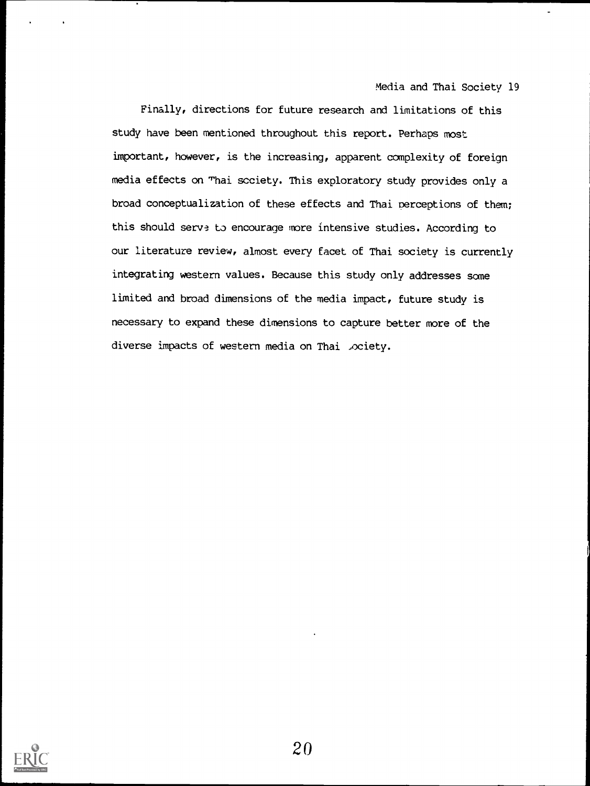Finally, directions for future research and limitations of this study have been mentioned throughout this report. Perhaps most important, however, is the increasing, apparent complexity of foreign media effects on Thai society. This exploratory study provides only a broad conceptualization of these effects and Thai perceptions of them; this should serve to encourage more intensive studies. According to our literature review, almost every facet of Thai society is currently integrating western values. Because this study only addresses some limited and broad dimensions of the media impact, future study is necessary to expand these dimensions to capture better more of the diverse impacts of western media on Thai .ociety.

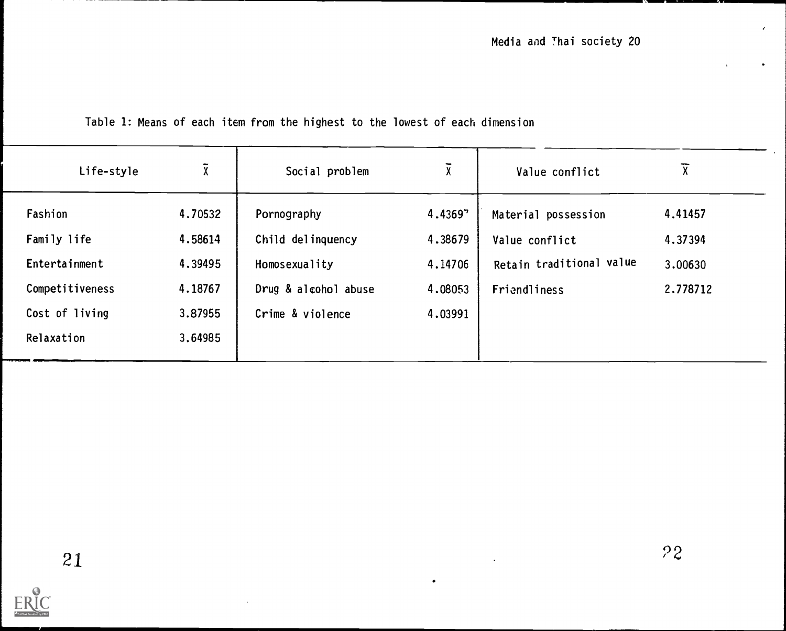# Table 1: Means of each item from the highest to the lowest of each dimension

| Life-style                                                                                 | χ,                                                             | Social problem                                                                                | $\overline{\chi}$                                   | Value conflict                                                                    | $\overline{\chi}$                         |
|--------------------------------------------------------------------------------------------|----------------------------------------------------------------|-----------------------------------------------------------------------------------------------|-----------------------------------------------------|-----------------------------------------------------------------------------------|-------------------------------------------|
| Fashion<br>Family life<br>Entertainment<br>Competitiveness<br>Cost of living<br>Relaxation | 4.70532<br>4.58614<br>4.39495<br>4.18767<br>3.87955<br>3.64985 | Pornography<br>Child delinquency<br>Homosexuality<br>Drug & alcohol abuse<br>Crime & violence | 4.43697<br>4.38679<br>4.14706<br>4.08053<br>4.03991 | Material possession<br>Value conflict<br>Retain traditional value<br>Friendliness | 4.41457<br>4.37394<br>3.00630<br>2.778712 |

 $\bullet$ 

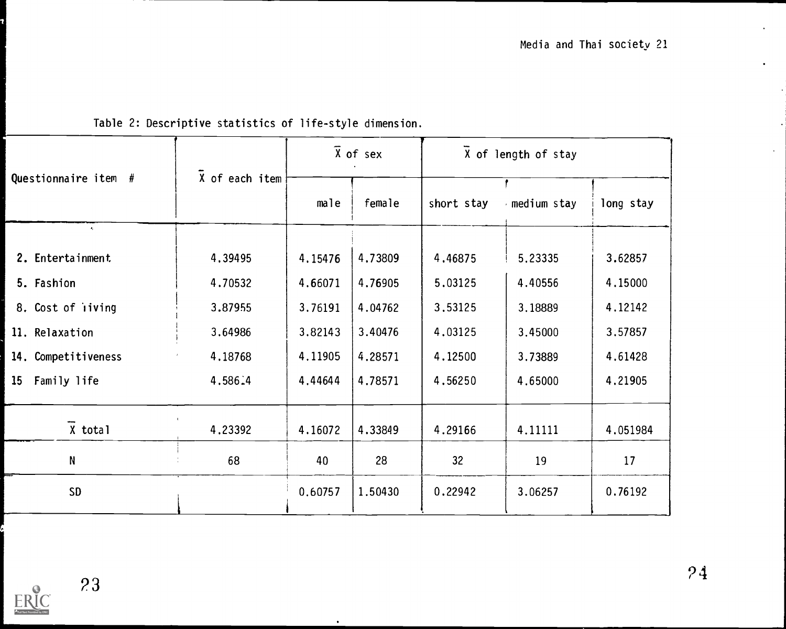|                                 |                |         | $\overline{\chi}$ of sex | X of length of stay |             |           |  |  |  |
|---------------------------------|----------------|---------|--------------------------|---------------------|-------------|-----------|--|--|--|
| Questionnaire item #            | X of each item | male    | female                   | short stay          | medium stay | long stay |  |  |  |
| $\bullet$<br>2. Entertainment   | 4.39495        | 4.15476 | 4,73809                  | 4.46875             | 5.23335     | 3.62857   |  |  |  |
| 5. Fashion                      | 4.70532        | 4.66071 | 4.76905                  | 5.03125             | 4.40556     | 4.15000   |  |  |  |
| 8. Cost of iiving               | 3.87955        | 3.76191 | 4.04762                  | 3.53125             | 3.18889     | 4.12142   |  |  |  |
| 11. Relaxation                  | 3.64986        | 3.82143 | 3.40476                  | 4.03125             | 3,45000     | 3.57857   |  |  |  |
| 14. Competitiveness             | 4.18768        | 4.11905 | 4.28571                  | 4.12500             | 3.73889     | 4.61428   |  |  |  |
| Family life<br>15 <sup>15</sup> | 4.586.4        | 4.44644 | 4.78571                  | 4.56250             | 4.65000     | 4.21905   |  |  |  |
| $X$ total                       | 4.23392        | 4.16072 | 4.33849                  | 4.29166             | 4.11111     | 4.051984  |  |  |  |
| N                               | 68             | 40      | 28                       | 32                  | 19          | 17        |  |  |  |
| <b>SD</b>                       |                | 0.60757 | 1.50430                  | 0.22942             | 3.06257     | 0.76192   |  |  |  |

# Table 2: Descriptive statistics of life-style dimension.

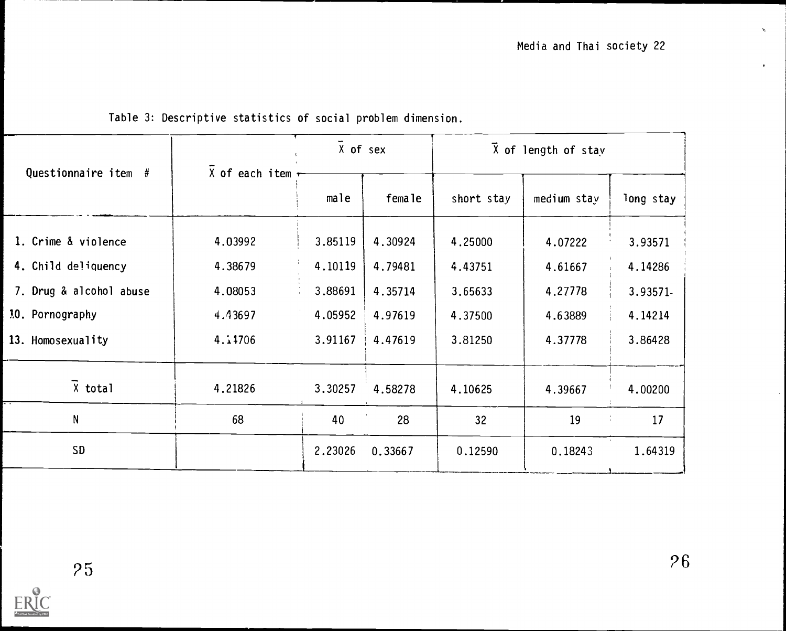$\mathbf{q}_i$ 

 $\bullet$ 

|                         |                         | X of sex |         | $X$ of length of stay |             |           |  |  |  |
|-------------------------|-------------------------|----------|---------|-----------------------|-------------|-----------|--|--|--|
| Questionnaire item #    | $X$ of each item $\tau$ | male     | female  | short stay            | medium stay | long stay |  |  |  |
| 1. Crime & violence     | 4.03992                 | 3.85119  | 4.30924 | 4.25000               | 4.07222     | 3.93571   |  |  |  |
| 4. Child deliquency     | 4.38679                 | 4.10119  | 4.79481 | 4.43751               | 4.61667     | 4.14286   |  |  |  |
| 7. Drug & alcohol abuse | 4.08053                 | 3.88691  | 4.35714 | 3.65633               | 4.27778     | 3.93571-  |  |  |  |
| 10. Pornography         | 4.43697                 | 4.05952  | 4.97619 | 4.37500               | 4.63889     | 4.14214   |  |  |  |
| 13. Homosexuality       | 4.11706                 | 3.91167  | 4.47619 | 3.81250               | 4.37778     | 3.86428   |  |  |  |
| $\bar{X}$ total         | 4.21826                 | 3.30257  | 4.58278 | 4.10625               | 4.39667     | 4.00200   |  |  |  |
| N                       | 68                      | 40       | 28      | 32 <sup>°</sup>       | 19          | Å,<br>17  |  |  |  |
| <b>SD</b>               |                         | 2.23026  | 0.33667 | 0.12590               | 0.18243     | 1.64319   |  |  |  |

# Table 3: Descriptive statistics of social problem dimension.

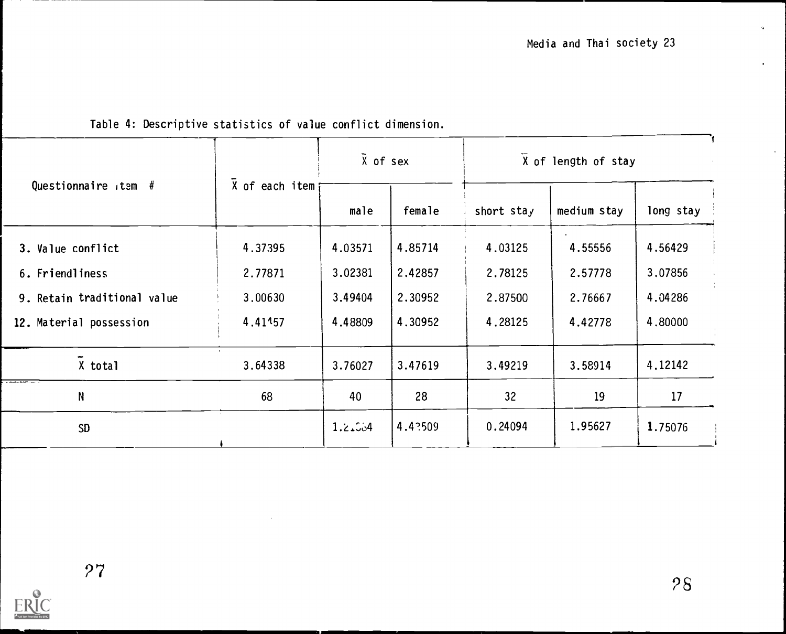|                             |                 |         | $\bar{X}$ of sex | X of length of stay |             |           |  |  |
|-----------------------------|-----------------|---------|------------------|---------------------|-------------|-----------|--|--|
| Questionnaire tem $#$       | X of each item; | male    | female           | short stay          | medium stay | long stay |  |  |
| 3. Value conflict           | 4.37395         | 4.03571 | 4.85714          | 4.03125             | 4.55556     | 4.56429   |  |  |
| 6. Friendliness             | 2.77871         | 3.02381 | 2.42857          | 2.78125             | 2.57778     | 3.07856   |  |  |
| 9. Retain traditional value | 3,00630         | 3.49404 | 2.30952          | 2.87500             | 2.76667     | 4.04286   |  |  |
| 12. Material possession     | 4.41157         | 4,48809 | 4.30952          | 4.28125             | 4.42778     | 4.80000   |  |  |
| X total                     | 3.64338         | 3.76027 | 3.47619          | 3.49219             | 3.58914     | 4.12142   |  |  |
| $\mathsf{N}$                | 68              | 40      | 28               | 32                  | 19          | 17        |  |  |
| <b>SD</b>                   |                 | 1.2.564 | 4.43509          | 0.24094             | 1.95627     | 1.75076   |  |  |

# Table 4: Descriptive statistics of value conflict dimension.

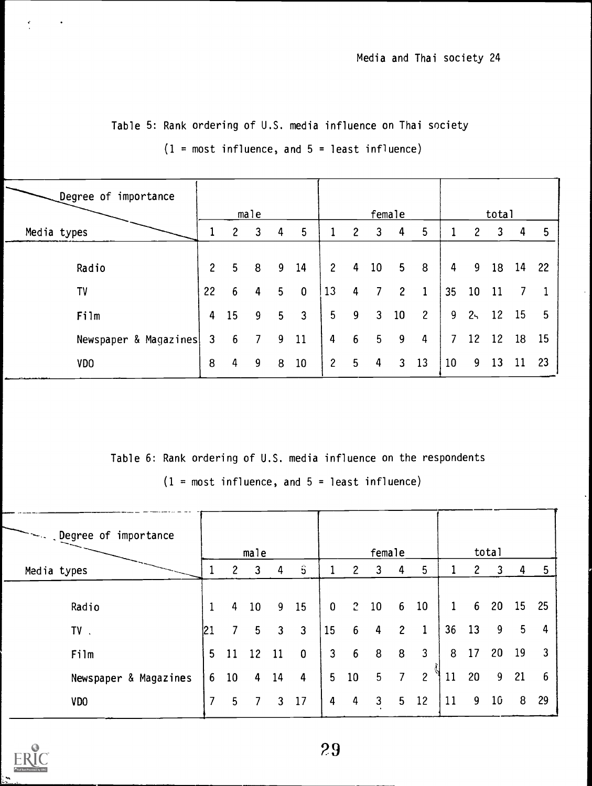| Degree of importance  |                |                | male           |   |                |                |                       | female         |                |                |    |                       | total |    |     |
|-----------------------|----------------|----------------|----------------|---|----------------|----------------|-----------------------|----------------|----------------|----------------|----|-----------------------|-------|----|-----|
| Media types           |                | $\overline{2}$ | 3              | 4 | 5              |                | $\mathbf{2}^{\prime}$ | 3              | 4              | 5              |    | $\mathbf{2}^{\prime}$ | 3     | 4  | 5   |
| Radio                 | $\overline{2}$ | 5              | 8              | 9 | 14             | 2 <sup>2</sup> |                       | $4\quad 10$    | 5 <sub>5</sub> | 8              | 4  | 9                     | 18    | 14 | -22 |
| TV                    | 22             | 6.             | 4              | 5 | 0              | 13             | 4                     |                | $\overline{2}$ | 1              | 35 | 10 <sub>1</sub>       | 11    |    |     |
| Film                  | 4              | <b>15</b>      | 9              | 5 | $\overline{3}$ | 5 <sub>1</sub> | -9                    | 3              | 10             | $\overline{c}$ | 9  | $2 -$                 | 12    | 15 | 5   |
| Newspaper & Magazines | 3              | 6              | $\overline{7}$ | 9 | 11             | 4              | 6                     | 5 <sub>1</sub> | 9              | 4              | 7  | 12 <sup>2</sup>       | 12    | 18 | 15  |
| <b>VDO</b>            | 8              | 4              | 9              | 8 | 10             | $\mathbf{2}$   | 5 <sup>5</sup>        | 4              | 3              | 13             | 10 | 9                     | 13    | 11 | 23  |

Table 5: Rank ordering of U.S. media influence on Thai society

 $(1 = most influence, and 5 = least influence)$ 

Table 6: Rank ordering of U.S. media influence on the respondents

 $(1 = most influence, and 5 = least influence)$ 

| Degree of importance ~~~~~~~~ |                |              | male            |                         |              |             |                | female         |                |                 |              |                | total           |    |    |
|-------------------------------|----------------|--------------|-----------------|-------------------------|--------------|-------------|----------------|----------------|----------------|-----------------|--------------|----------------|-----------------|----|----|
| Media types                   | 1              | $\mathbf{2}$ | 3               | 4                       | Ŝ            |             | $\overline{2}$ | 3              | 4              | 5               |              | 2              | 3               | 4  | 5  |
| Radio                         |                | 4            | 10              | -9                      | 15           | $\mathbf 0$ |                | $2\quad10$     | 6 <sup>1</sup> | 10 <sup>°</sup> | $\mathbf{1}$ | 6 <sup>1</sup> | 20              | 15 | 25 |
| TV.                           | 121            |              | 5               | $\overline{\mathbf{3}}$ | $\mathbf{3}$ | 15          | 6 <sup>1</sup> | 4              | $\overline{2}$ | $\mathbf 1$     | 36           | 13             | 9               | 5  | 4  |
| Film                          | 5              | 11           | 12 <sup>°</sup> | 11                      | $\bf{0}$     |             | $3\quad 6$     | 8              | 8              | $\mathbf{3}$    | 8            | 17             | 20              | 19 | 3  |
| Newspaper & Magazines         | 6 <sup>1</sup> | 10           | 4               | 14                      | 4            |             | $5\quad 10$    | 5 <sub>1</sub> | $\overline{7}$ | $\overline{c}$  | 11           | 20             | 9               | 21 | 6  |
| VDO                           | 7              | 5            |                 | 7 3 17                  |              | 4           | $\overline{4}$ | $\mathbf{3}$   | 5 <sub>1</sub> | 12              | 11           | 9              | 10 <sup>°</sup> | 8  | 29 |

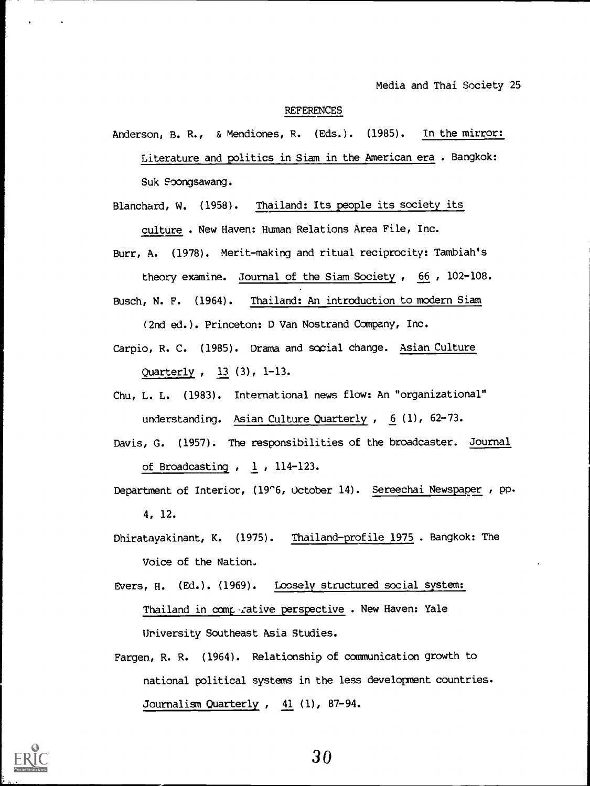#### REFERENCES

Anderson, B. R., & Mendiones, R. (Eds.). (1985). In the mirror: Literature and politics in Siam in the American era . Bangkok: Suk Foongsawang.

Blanchard, W. (1958). Thailand: Its people its society its culture . New Haven: Human Relations Area File, Inc.

Burr, A. (1978). Merit-making and ritual reciprocity: Tambiah's theory examine. Journal of the Siam Society , 66 , 102-108.

Busch, N. F. (1964). Thailand: An introduction to modern Siam

(2nd ed.). Princeton: D Van Nostrand Company, Inc.

- Carpio, R. C. (1985). Drama and social change. Asian Culture Quarterly , 13 (3), 1-13.
- Chu, L. L. (1983). International news flow: An "organizational" understanding. Asian Culture Quarterly ,  $6(1)$ , 62-73.
- Davis, G. (1957). The responsibilities of the broadcaster. Jou<u>rnal</u> of Broadcasting , 1 , 114-123.
- Department of Interior, (19'6, October 14). Sereechai Newspaper , pp. 4, 12.
- Dhiratayakinant, K. (1975). Thailand-profile 1975 . Bangkok: The Voice of the Nation.
- Evers, H. (Ed.). (1969). Loosely structured social system: Thailand in comperative perspective . New Haven: Yale University Southeast Asia Studies.
- Fargen, R. R. (1964). Relationship of communication growth to national political systems in the less development countries. Journalism Quarterly, 41 (1), 87-94.

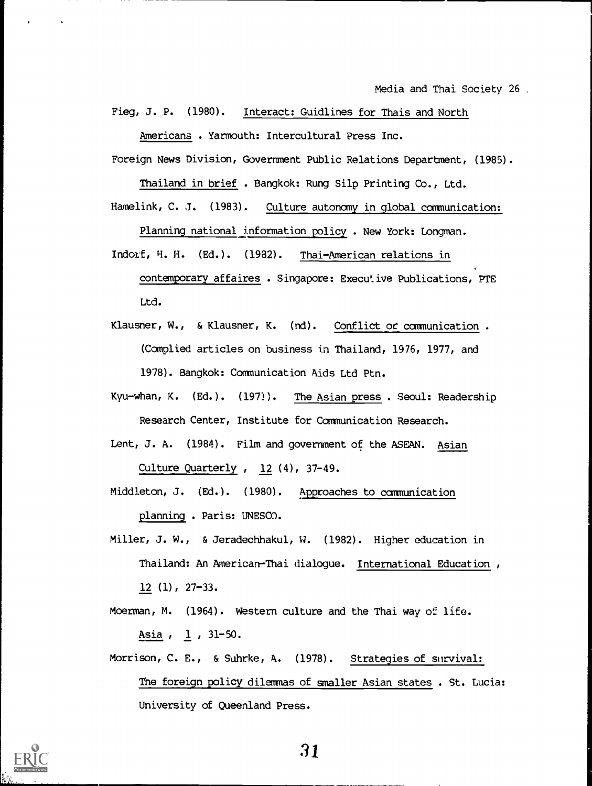Fieg, J. P. (1980). Interact: Guidlines for Thais and North

Americans . Yarmouth: Intercultural Press Inc.

Foreign News Division, Government Public Relations Department, (1985).

Thailand in brief . Bangkok: Rung Silp Printing Co., Ltd.

Hamelink, C. J. (1983). Culture autonomy in global communication: Planning national information policy . New York: Longman.

- Indorf, H. H. (Ed.). (1982). Thai-American relations in contemporary affaires . Singapore: Executive Publications, PTE Ltd.
- Klausner, W., & Klausner, K. (nd). Conflict or communication . (Complied articles on business in Thailand, 1976, 1977, and 1978). Bangkok: Communication Aids Ltd Ptn.
- Kyu-whan, K. (Ed.). (197)). The Asian press . Seoul: Readership Research Center, Institute for Communication Research.
- Lent, J. A. (1984). Film and government of the ASEAN. Asian Culture Quarterly , 12 (4), 37-49.
- Middleton, J. (Ed.). (1980). Approaches to communication planning . Paris: UNESCO.
- Miller, J. W., & Jeradechhakul, W. (1982). Higher education in Thailand: An American-Thai dialogue. International Education, 12 (1), 27-33.
- Moerman, M. (1964). Western culture and the Thai way of life. Asia , 1 , 31-50.
- Morrison, C. E., & Suhrke, A. (1978). Strategies of survival: The foreign policy dilemmas of smaller Asian states . St. Lucia: University of Queenland Press.

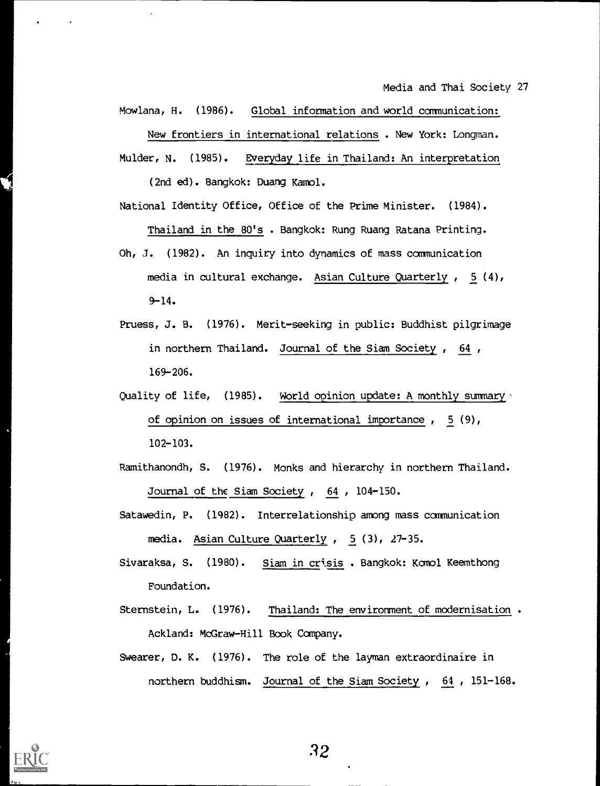Mowlana, H. (1986). Global information and world communication: New frontiers in international relations . New York: Longman.

Mulder, N. (1985). Everyday life in Thailand: An interpretation (2nd ed). Bangkok: Duang Kamol.

Thailand in the 80's . Bangkok: Rung Ruang Ratana Printing.

National Identity Office, Office of the Prime Minister. (1984).

- Oh, J. (1982). An inquiry into dynamics of mass communication media in cultural exchange. Asian Culture Quarterly , 5 (4), 9-14.
- Pruess, J. B. (1976). Merit-seeking in public: Buddhist pilgrimage in northern Thailand. Journal of the Siam Society , 64 , 169-206.
- Quality of life, (1985). World opinion update: A monthly summary a of opinion on issues of international importance , 5 (9), 102-103.
- Ramithanondh, S. (1976). Monks and hierarchy in northern Thailand. Journal of the Siam Society , 64 , 104-150.
- Satawedin, P. (1982). Interrelationship among mass communication media. Asian Culture Quarterly , 5 (3), 27-35.
- Sivaraksa, S. (1980). Siam in crisis. Bangkok: Komol Keemthong Foundation.
- Sternstein, L. (1976). Thailand: The environment of modernisation . Ackland: McGraw-Hill Book Company.
- Swearer, D. K. (1976). The role of the layman extraordinaire in northern buddhism. Journal of the Siam Society , 64 , 151-168.

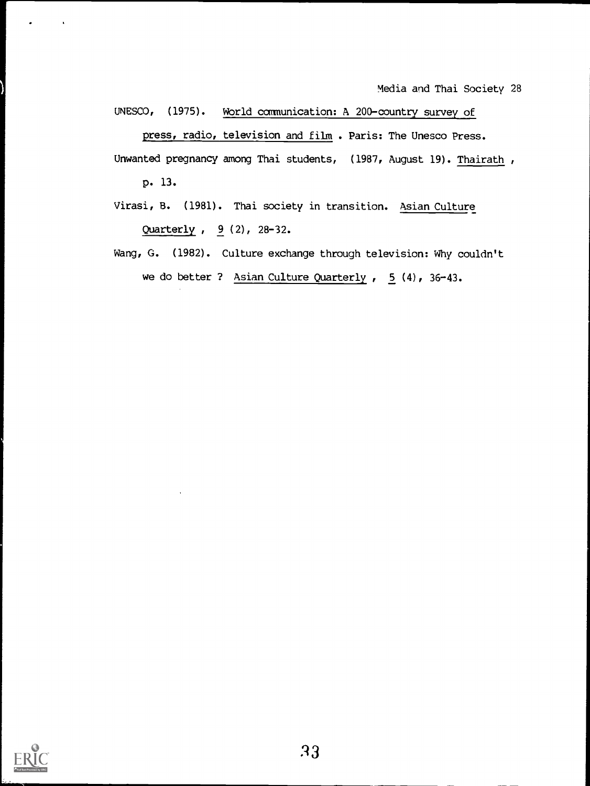UNESCO, (1975). World communication: A 200-country survey of press, radio, television and film . Paris: The Unesco Press. Unwanted pregnancy among Thai students, (1987, August 19). Thairath,

p. 13.

- Virasi, 8. (1981). Thai society in transition. Asian Culture Quarterly , 9 (2), 28-32.
- Wang, G. (1982). Culture exchange through television: Why couldn't we do better ? Asian Culture Quarterly , 5 (4), 36-43.

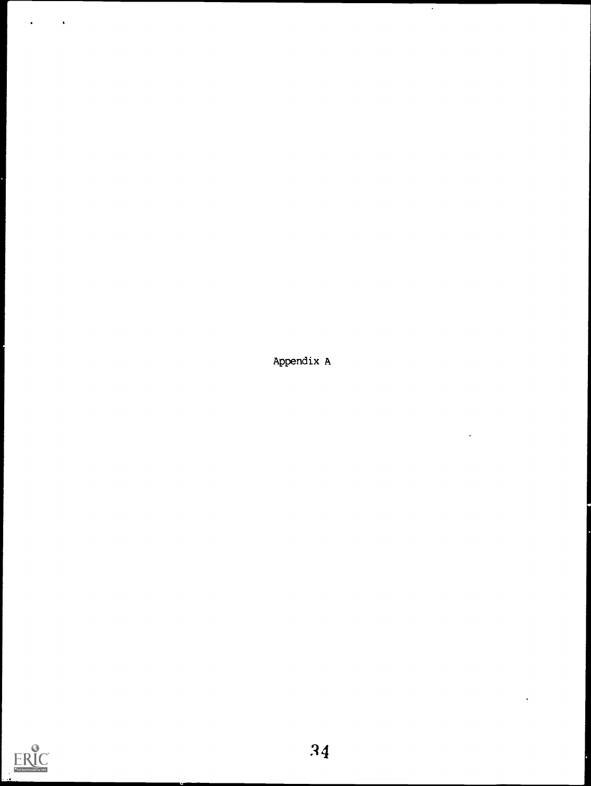Appendix A

 $\overline{a}$ 

 $\ddot{\phantom{0}}$ 



 $\ddot{\phantom{0}}$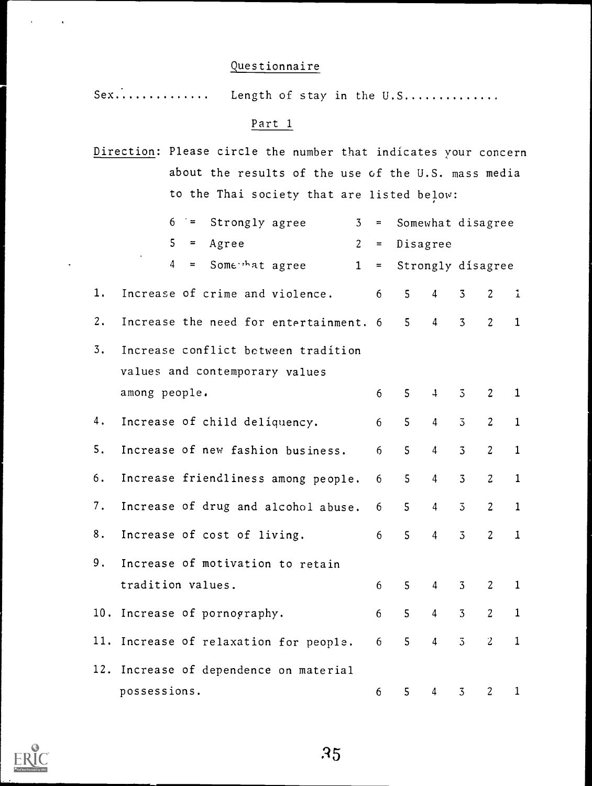# Questionnaire

 $Sex...$ Length of stay in the U.S..............

## Part 1

|    | Direction: Please circle the number that indicates your concern |                |                |                   |                   |                |                |              |  |
|----|-----------------------------------------------------------------|----------------|----------------|-------------------|-------------------|----------------|----------------|--------------|--|
|    | about the results of the use of the U.S. mass media             |                |                |                   |                   |                |                |              |  |
|    | to the Thai society that are listed below:                      |                |                |                   |                   |                |                |              |  |
|    | Strongly agree<br>6<br>$\dot{ }$ =                              | $\overline{3}$ | $\equiv$       | Somewhat disagree |                   |                |                |              |  |
|    | 5<br>Agree<br>$=$                                               | 2 <sup>1</sup> | $\equiv$ .     | Disagree          |                   |                |                |              |  |
|    | $\overline{4}$<br>Some hat agree<br>$=$                         | 1              | $=$            |                   | Strongly disagree |                |                |              |  |
| 1. | Increase of crime and violence.                                 |                | 6              | 5 <sup>1</sup>    | $\overline{4}$    | $\overline{3}$ | $\overline{c}$ | $\mathbf{1}$ |  |
| 2. | Increase the need for entertainment. 6                          |                |                | 5 <sup>1</sup>    | $\overline{4}$    | $\overline{3}$ | $\overline{2}$ | $\mathbf{1}$ |  |
| 3. | Increase conflict between tradition                             |                |                |                   |                   |                |                |              |  |
|    | values and contemporary values                                  |                |                |                   |                   |                |                |              |  |
|    | among people.                                                   |                | 6              | 5                 | $\ddot{+}$        | $\overline{3}$ | $\overline{2}$ | $\mathbf{1}$ |  |
| 4. | Increase of child deliquency.                                   |                | 6              | 5                 | $\overline{4}$    | $\overline{3}$ | $\overline{2}$ | $\mathbf{1}$ |  |
| 5. | Increase of new fashion business.                               |                | 6              | $\overline{5}$    | $\overline{4}$    | $\overline{3}$ | $\overline{2}$ | $\mathbf{1}$ |  |
| 6. | Increase friendliness among people.                             |                | 6              | 5 <sub>1</sub>    | $\overline{4}$    | $\overline{3}$ | $\overline{c}$ | $\mathbf{1}$ |  |
| 7. | Increase of drug and alcohol abuse.                             |                | 6              | 5                 | $\overline{4}$    | $\overline{5}$ | $\overline{2}$ | $\mathbf{1}$ |  |
| 8. | Increase of cost of living.                                     |                | 6              | 5                 | $\overline{4}$    | $\overline{3}$ | $\overline{2}$ | $\mathbf{1}$ |  |
| 9. | Increase of motivation to retain                                |                |                |                   |                   |                |                |              |  |
|    | tradition values.                                               |                | $6\phantom{1}$ | 5                 | $\overline{4}$    | $\overline{3}$ | $\overline{2}$ | $\mathbf{1}$ |  |

10. Increase of pornography. 6 6 5 4 3 2 1 11. Increase of relaxation for people. 6 5 4 3 2 1 12. Increase of dependence on material possessions. 6 5 4 3 2 1



 $\ddot{\phantom{a}}$ 

 $\ddot{\phantom{1}}$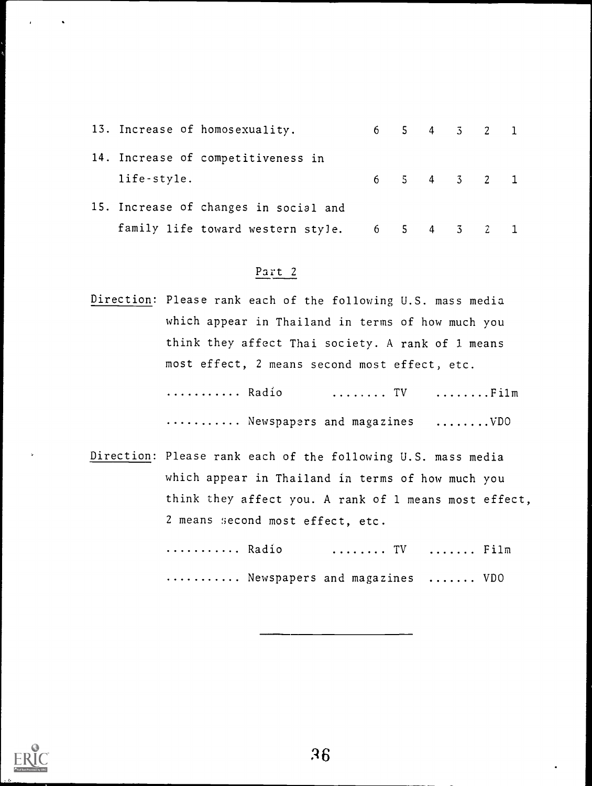|             | 13. Increase of homosexuality.        |             | 6 5 4 3 2 1 |  |  |
|-------------|---------------------------------------|-------------|-------------|--|--|
|             | 14. Increase of competitiveness in    |             |             |  |  |
| life-style. |                                       |             | 6 5 4 3 2 1 |  |  |
|             | 15. Increase of changes in social and |             |             |  |  |
|             | family life toward western style.     | 6 5 4 3 2 1 |             |  |  |

# Part 2

Direction: Please rank each of the following U.S. mass media which appear in Thailand in terms of how much you think they affect Thai society. A rank of 1 means most effect, 2 means second most effect, etc.

> ........... Radio ........ TV ........Film .......... Newspapers and magazines ........VDO

Direction: Please rank each of the following U.S. mass media which appear in Thailand in terms of how much you think they affect you. A rank of 1 means most effect, 2 means second most effect, etc.

> ........... Radio ........ TV ....... Film ........... Newspapers and magazines ....... VDO

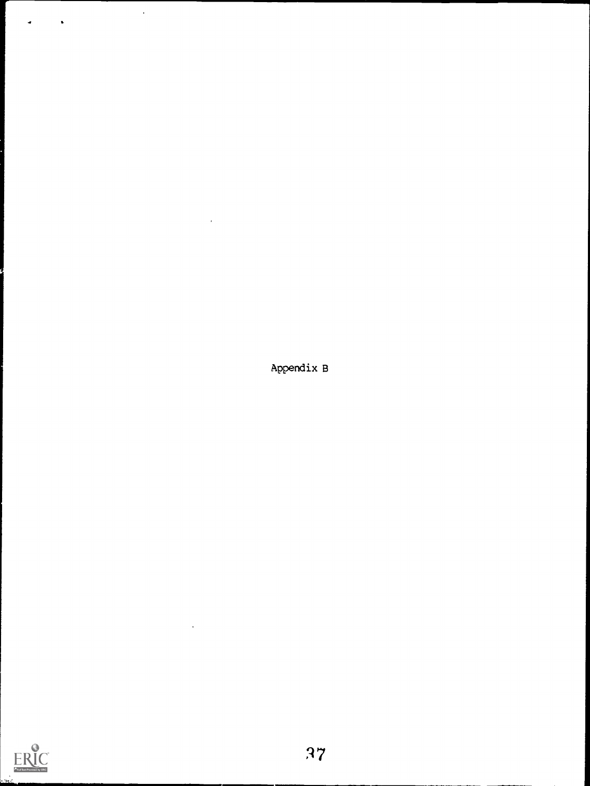Appendix B

 $\hat{\mathbf{r}}$ 

 $\ddot{\phantom{a}}$ 

 $\ddot{\phantom{1}}$ 

 $\hat{\textbf{r}}$ 

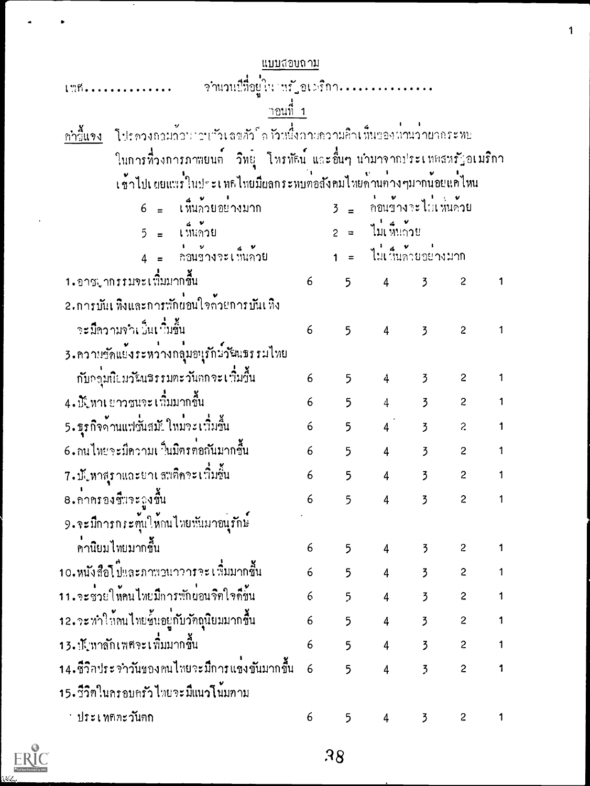| แบบลอบถาม                                                                              |                   |             |                        |                       |                |              |  |
|----------------------------------------------------------------------------------------|-------------------|-------------|------------------------|-----------------------|----------------|--------------|--|
|                                                                                        |                   |             |                        |                       |                |              |  |
| าอนที่ 1                                                                               |                   |             |                        |                       |                |              |  |
| โปรดวงถอมอ้อนาวบาวเลขอัวโด วัวหนึ่งอวนตวามอิวเ ที่นของผ่านว่าผอกระทบ<br><u>กำวันวง</u> |                   |             |                        |                       |                |              |  |
| ในการที่วงการภาพยนต์ วิทยุ โหรทัศน์ และอื่นๆ นำมาจากประเทศสหรัฐอเมริกา                 |                   |             |                        |                       |                |              |  |
| เข้าไปเผยแนวในประเทศไทยมีผลกระหบทอสังคมไทยค้านค่างๆมากน้อยแค่ไหน                       |                   |             |                        |                       |                |              |  |
| $6 = 1$ ห็นกวยอย่างมาก $3 = 2$ กอนข้างจะไม่เห็นค่าย                                    |                   |             |                        |                       |                |              |  |
| $5 = 1$ $\frac{2}{3}$                                                                  |                   |             | 2 = ไม่เห็นถ้วย        |                       |                |              |  |
| $4 = \frac{1}{2}$ 211911921                                                            |                   |             | 1 = ไม่เห็นกายอย่างมาก |                       |                |              |  |
| 1.อาชมากรรมจะเพิ่มมากขึ้น                                                              | $6 \qquad \qquad$ |             | $5 \t 4 \t 5 \t 2$     |                       |                |              |  |
| 2.การบันเห็งและการพักผ่อนใจล้วยการบันเห็ง                                              |                   |             |                        |                       |                |              |  |
| จะมีความจำเป็นเป็นขึ้น                                                                 | 6                 | 5           | $\overline{4}$         | $\overline{3}$        | $\overline{c}$ |              |  |
| 3.ความขัดแย้งระหว่างกลุ้มอนุรักษ์วัฒนธรรมไทย                                           |                   |             |                        |                       |                |              |  |
| ่ กับกลุ่มนิยมวัฒ¤รรมตะวันกกจะเพิ่มขึ้น                                                | 6                 | 5           | $\overline{4}$         | $\overline{3}$        | $\sim$ 2       | 1            |  |
| 4 - มีนิทาเ ยาวชนจะ เพิ่มมากขึ้น                                                       | 6                 | 5           |                        | $4$ 3 2               |                | $\mathbf{1}$ |  |
| 5. ธุรกิจจ้านแฟชั่นสมัยใหม่จะเพิ่มขึ้น                                                 | 6                 | $5^{\circ}$ |                        | $4 \times 3 \times 2$ |                | $\mathbf{1}$ |  |
| 6. กนไทยจะมีความเ∃็นมิตรค่อกันมากขึ้น                                                  | $\epsilon$        | 5           | $4\overline{4}$        |                       | $3^2$          | $\mathbf{1}$ |  |
| 7 - ปั๊ปหาสุราและยาเ สมคิดจะเพิ่มขึ้น                                                  | 6                 | 5           | $\overline{4}$         | $\overline{3}$        | $\mathbf{c}$   | 1            |  |
| 8. คาครองชี้มวะถูงขึ้น                                                                 | 6                 | $5^{\circ}$ |                        | $4 \quad 3$           | $\overline{2}$ | $\mathbf{1}$ |  |
| 9.จะมีการกระตุ้นให้กนไทยพันมาอนุรักษ์                                                  |                   |             |                        |                       |                |              |  |
| คานิยมไทยมากขึ้น                                                                       | 6                 | 5           | 4                      | $\overline{2}$        | $\mathbf{2}$   |              |  |
| 10.หนังสือโ ปีและภาพวนาวารจะ เพิ่มมากขึ้น                                              | 6                 | 5           | 4                      | $\overline{3}$        | $\overline{c}$ | 1            |  |
| า 1 . จะช่วยให้คนไทยมีการพักผ่อนจิตใจดีขั้น                                            | 6                 | 5           | 4                      | $\overline{3}$        | $\overline{c}$ | 1            |  |
| 12.จะทำให้คนไทยชั้นอยู่กับวัคธุนิยมมากชื้น                                             | 6                 | 5           | 4                      | $\overline{3}$        | $\overline{c}$ |              |  |
| 13.นั\หาลักเพศจะเพิ่มมากขึ้น                                                           | 6                 | 5           | 4                      | $\overline{3}$        | $\mathbf{c}$   | 1            |  |
| 14.ซึวิกประจำวันของคนไทยจะมีการแข่งขันมากขึ้น                                          | 6                 | 5           | $\overline{4}$         | $\overline{3}$        | $\overline{c}$ |              |  |
| 15. วีวิทในครอบครัวไทยจะมีแนวโนมทาม                                                    |                   |             |                        |                       |                |              |  |
| ่ ประเทศตะว <i>ั</i> นตก                                                               | 6                 | 5           | 4                      | $\overline{3}$        | $\overline{c}$ | 1            |  |

 $\ddot{\phantom{1}}$ 

 $\overline{\phantom{a}}$ 

 $\bullet$